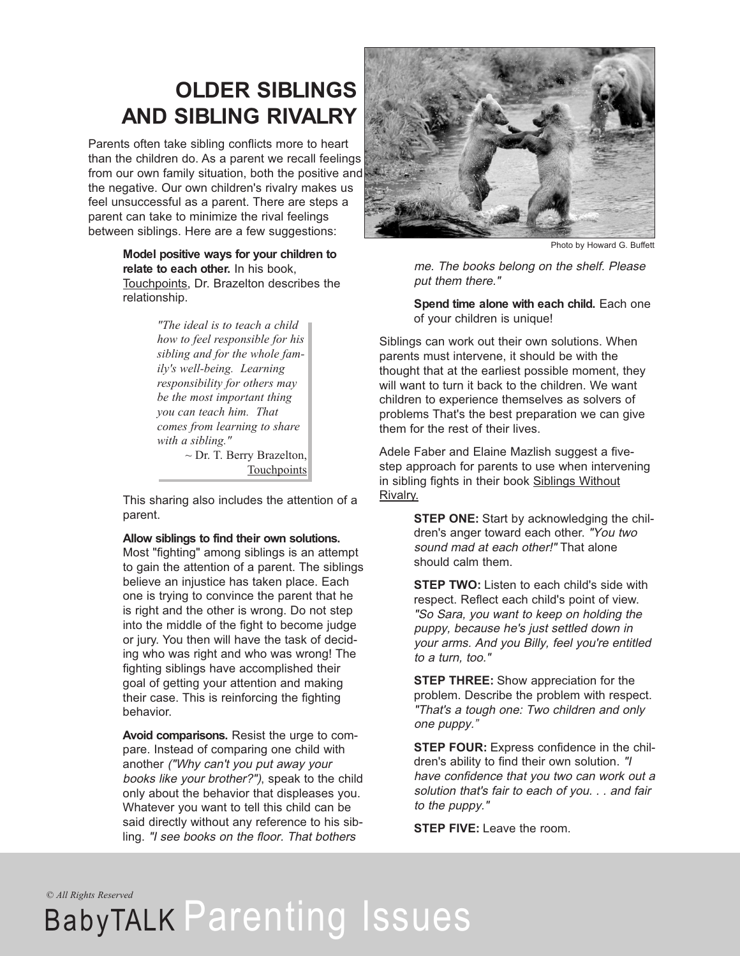### **OLDER SIBLINGS AND SIBLING RIVALRY**

Parents often take sibling conflicts more to heart than the children do. As a parent we recall feelings from our own family situation, both the positive and the negative. Our own children's rivalry makes us feel unsuccessful as a parent. There are steps a parent can take to minimize the rival feelings between siblings. Here are a few suggestions:

> **Model positive ways for your children to relate to each other.** In his book, Touchpoints, Dr. Brazelton describes the relationship.

> > *"The ideal is to teach a child how to feel responsible for his sibling and for the whole family's well-being. Learning responsibility for others may be the most important thing you can teach him. That comes from learning to share with a sibling."*  $\sim$  Dr. T. Berry Brazelton,

**Touchpoints** 

This sharing also includes the attention of a parent.

#### **Allow siblings to find their own solutions.**

Most "fighting" among siblings is an attempt to gain the attention of a parent. The siblings believe an injustice has taken place. Each one is trying to convince the parent that he is right and the other is wrong. Do not step into the middle of the fight to become judge or jury. You then will have the task of deciding who was right and who was wrong! The fighting siblings have accomplished their goal of getting your attention and making their case. This is reinforcing the fighting behavior.

**Avoid comparisons.** Resist the urge to compare. Instead of comparing one child with another ("Why can't you put away your books like your brother?"), speak to the child only about the behavior that displeases you. Whatever you want to tell this child can be said directly without any reference to his sibling. "I see books on the floor. That bothers



Photo by Howard G. Buffett

me. The books belong on the shelf. Please put them there."

**Spend time alone with each child.** Each one of your children is unique!

Siblings can work out their own solutions. When parents must intervene, it should be with the thought that at the earliest possible moment, they will want to turn it back to the children. We want children to experience themselves as solvers of problems That's the best preparation we can give them for the rest of their lives.

Adele Faber and Elaine Mazlish suggest a fivestep approach for parents to use when intervening in sibling fights in their book Siblings Without Rivalry.

> **STEP ONE:** Start by acknowledging the children's anger toward each other. "You two sound mad at each other!" That alone should calm them.

> **STEP TWO:** Listen to each child's side with respect. Reflect each child's point of view. "So Sara, you want to keep on holding the puppy, because he's just settled down in your arms. And you Billy, feel you're entitled to <sup>a</sup> turn, too."

> **STEP THREE:** Show appreciation for the problem. Describe the problem with respect. "That's <sup>a</sup> tough one: Two children and only one puppy."

**STEP FOUR:** Express confidence in the children's ability to find their own solution. "I have confidence that you two can work out <sup>a</sup> solution that's fair to each of you. . . and fair to the puppy."

**STEP FIVE:** Leave the room.

*© All Rights Reserved*

# BabyTALK Parenting Issues